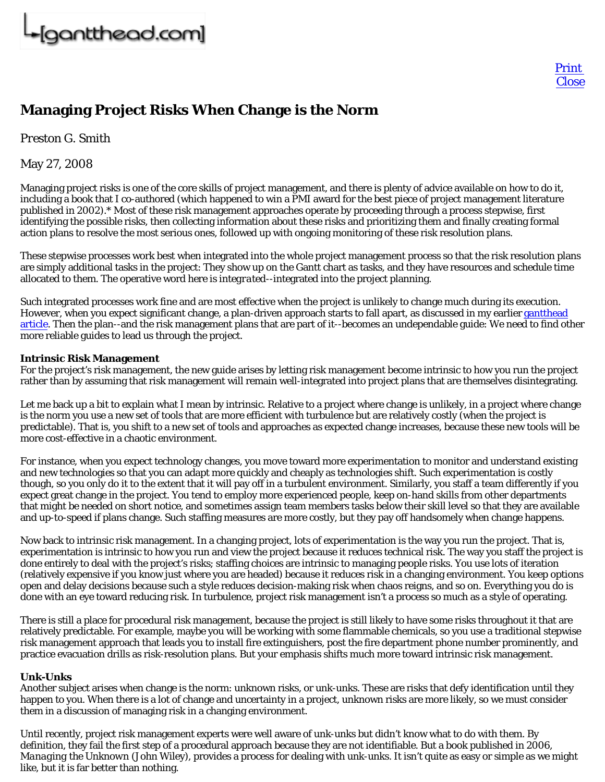## **Managing Project Risks When Change is the Norm**

*Preston G. Smith*

May 27, 2008

Managing project risks is one of the core skills of project management, and there is plenty of advice available on how to do it, including a book that I co-authored (which happened to win a PMI award for the best piece of project management literature published in 2002).\* Most of these risk management approaches operate by proceeding through a process stepwise, first identifying the possible risks, then collecting information about these risks and prioritizing them and finally creating formal action plans to resolve the most serious ones, followed up with ongoing monitoring of these risk resolution plans.

These stepwise processes work best when integrated into the whole project management process so that the risk resolution plans are simply additional tasks in the project: They show up on the Gantt chart as tasks, and they have resources and schedule time allocated to them. The operative word here is *integrated*--integrated into the project planning.

Such integrated processes work fine and are most effective when the project is unlikely to change much during its execution. However, when you expect significant change, a plan-driven approach starts to fall apart, as discussed in my earlier gantthead article. Then the plan--and the risk management plans that are part of it--becomes an undependable guide: We need to find other more reliable guides to lead us through the project.

## **Intrinsic Risk Management**

For the project's risk management, the new guide arises by letting risk management become intrinsic to how you run the project rather than by assuming that risk management will remain well-integrated into project plans that are themselves disintegrating.

Let me back up a bit to explain what I mean by intrinsic. Relative to a project where change is unlikely, in a project where change is the norm you use a new set of tools that are more efficient with turbulence but are relatively costly (when the project is predictable). That is, you shift to a new set of tools and approaches as expected change increases, because these new tools will be more cost-effective in a chaotic environment.

For instance, when you expect technology changes, you move toward more experimentation to monitor and understand existing and new technologies so that you can adapt more quickly and cheaply as technologies shift. Such experimentation is costly though, so you only do it to the extent that it will pay off in a turbulent environment. Similarly, you staff a team differently if you expect great change in the project. You tend to employ more experienced people, keep on-hand skills from other departments that might be needed on short notice, and sometimes assign team members tasks below their skill level so that they are available and up-to-speed if plans change. Such staffing measures are more costly, but they pay off handsomely when change happens.

Now back to intrinsic risk management. In a changing project, lots of experimentation is the way you run the project. That is, experimentation is intrinsic to how you run and view the project because it reduces technical risk. The way you staff the project is done entirely to deal with the project's risks; staffing choices are intrinsic to managing people risks. You use lots of iteration (relatively expensive if you know just where you are headed) because it reduces risk in a changing environment. You keep options open and delay decisions because such a style reduces decision-making risk when chaos reigns, and so on. Everything you do is done with an eye toward reducing risk. In turbulence, project risk management isn't a process so much as a style of operating.

There is still a place for procedural risk management, because the project is still likely to have some risks throughout it that are relatively predictable. For example, maybe you will be working with some flammable chemicals, so you use a traditional stepwise risk management approach that leads you to install fire extinguishers, post the fire department phone number prominently, and practice evacuation drills as risk-resolution plans. But your emphasis shifts much more toward intrinsic risk management.

## **Unk-Unks**

Another subject arises when change is the norm: unknown risks, or unk-unks. These are risks that defy identification until they happen to you. When there is a lot of change and uncertainty in a project, unknown risks are more likely, so we must consider them in a discussion of managing risk in a changing environment.

Until recently, project risk management experts were well aware of unk-unks but didn't know what to do with them. By definition, they fail the first step of a procedural approach because they are not identifiable. But a book published in 2006, *Managing the Unknown* (John Wiley), provides a process for dealing with unk-unks. It isn't quite as easy or simple as we might like, but it is far better than nothing.